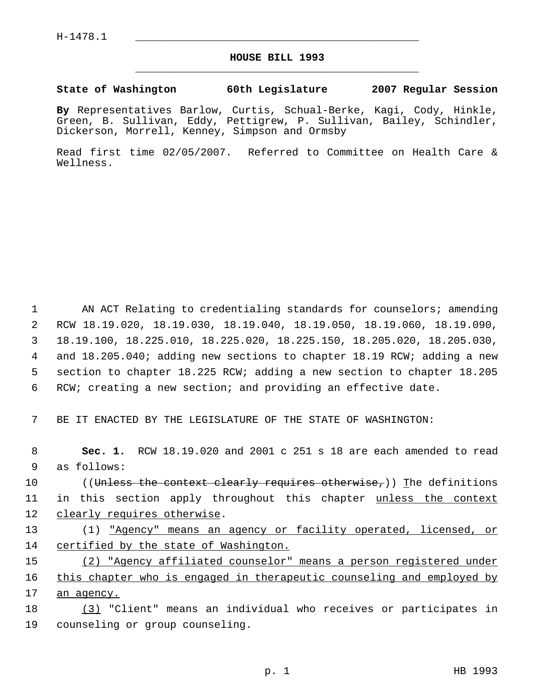## **HOUSE BILL 1993** \_\_\_\_\_\_\_\_\_\_\_\_\_\_\_\_\_\_\_\_\_\_\_\_\_\_\_\_\_\_\_\_\_\_\_\_\_\_\_\_\_\_\_\_\_

## **State of Washington 60th Legislature 2007 Regular Session**

**By** Representatives Barlow, Curtis, Schual-Berke, Kagi, Cody, Hinkle, Green, B. Sullivan, Eddy, Pettigrew, P. Sullivan, Bailey, Schindler, Dickerson, Morrell, Kenney, Simpson and Ormsby

Read first time 02/05/2007. Referred to Committee on Health Care & Wellness.

 AN ACT Relating to credentialing standards for counselors; amending RCW 18.19.020, 18.19.030, 18.19.040, 18.19.050, 18.19.060, 18.19.090, 18.19.100, 18.225.010, 18.225.020, 18.225.150, 18.205.020, 18.205.030, and 18.205.040; adding new sections to chapter 18.19 RCW; adding a new section to chapter 18.225 RCW; adding a new section to chapter 18.205 RCW; creating a new section; and providing an effective date.

7 BE IT ENACTED BY THE LEGISLATURE OF THE STATE OF WASHINGTON:

 8 **Sec. 1.** RCW 18.19.020 and 2001 c 251 s 18 are each amended to read 9 as follows:

10 ((Unless the context clearly requires otherwise,)) The definitions 11 in this section apply throughout this chapter <u>unless the context</u> 12 clearly requires otherwise.

13 (1) "Agency" means an agency or facility operated, licensed, or 14 certified by the state of Washington.

15 (2) "Agency affiliated counselor" means a person registered under 16 this chapter who is engaged in therapeutic counseling and employed by 17 an agency.

18 (3) "Client" means an individual who receives or participates in 19 counseling or group counseling.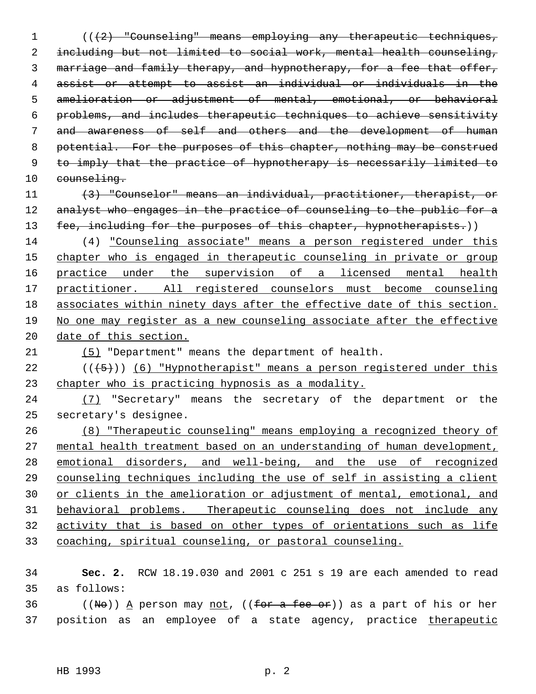1 (( $\{2\}$  "Counseling" means employing any therapeutic techniques, including but not limited to social work, mental health counseling, marriage and family therapy, and hypnotherapy, for a fee that offer, assist or attempt to assist an individual or individuals in the amelioration or adjustment of mental, emotional, or behavioral problems, and includes therapeutic techniques to achieve sensitivity and awareness of self and others and the development of human 8 potential. For the purposes of this chapter, nothing may be construed to imply that the practice of hypnotherapy is necessarily limited to 10 counseling. (3) "Counselor" means an individual, practitioner, therapist, or 12 analyst who engages in the practice of counseling to the public for a 13 fee, including for the purposes of this chapter, hypnotherapists.)) (4) "Counseling associate" means a person registered under this chapter who is engaged in therapeutic counseling in private or group practice under the supervision of a licensed mental health practitioner. All registered counselors must become counseling associates within ninety days after the effective date of this section.

 No one may register as a new counseling associate after the effective 20 date of this section.

(5) "Department" means the department of health.

22  $((\overline{5}))$  (6) "Hypnotherapist" means a person reqistered under this chapter who is practicing hypnosis as a modality.

24 (7) "Secretary" means the secretary of the department or the secretary's designee.

 (8) "Therapeutic counseling" means employing a recognized theory of mental health treatment based on an understanding of human development, emotional disorders, and well-being, and the use of recognized counseling techniques including the use of self in assisting a client or clients in the amelioration or adjustment of mental, emotional, and behavioral problems. Therapeutic counseling does not include any activity that is based on other types of orientations such as life coaching, spiritual counseling, or pastoral counseling.

 **Sec. 2.** RCW 18.19.030 and 2001 c 251 s 19 are each amended to read as follows:

36 ((No)) A person may not, ((for a fee or)) as a part of his or her 37 position as an employee of a state agency, practice therapeutic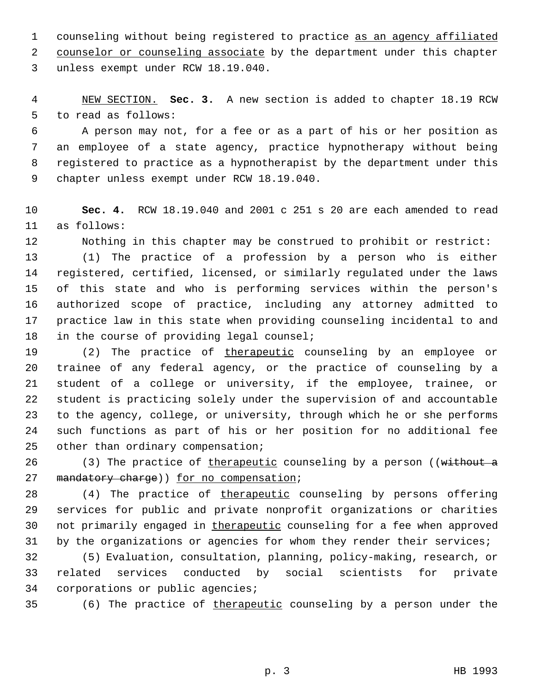counseling without being registered to practice as an agency affiliated counselor or counseling associate by the department under this chapter unless exempt under RCW 18.19.040.

 NEW SECTION. **Sec. 3.** A new section is added to chapter 18.19 RCW to read as follows:

 A person may not, for a fee or as a part of his or her position as an employee of a state agency, practice hypnotherapy without being registered to practice as a hypnotherapist by the department under this chapter unless exempt under RCW 18.19.040.

 **Sec. 4.** RCW 18.19.040 and 2001 c 251 s 20 are each amended to read as follows:

Nothing in this chapter may be construed to prohibit or restrict:

 (1) The practice of a profession by a person who is either registered, certified, licensed, or similarly regulated under the laws of this state and who is performing services within the person's authorized scope of practice, including any attorney admitted to practice law in this state when providing counseling incidental to and in the course of providing legal counsel;

19 (2) The practice of therapeutic counseling by an employee or trainee of any federal agency, or the practice of counseling by a student of a college or university, if the employee, trainee, or student is practicing solely under the supervision of and accountable to the agency, college, or university, through which he or she performs such functions as part of his or her position for no additional fee other than ordinary compensation;

26 (3) The practice of therapeutic counseling by a person ((without a 27 mandatory charge)) for no compensation;

28 (4) The practice of therapeutic counseling by persons offering services for public and private nonprofit organizations or charities 30 not primarily engaged in therapeutic counseling for a fee when approved 31 by the organizations or agencies for whom they render their services;

 (5) Evaluation, consultation, planning, policy-making, research, or related services conducted by social scientists for private corporations or public agencies;

35 (6) The practice of therapeutic counseling by a person under the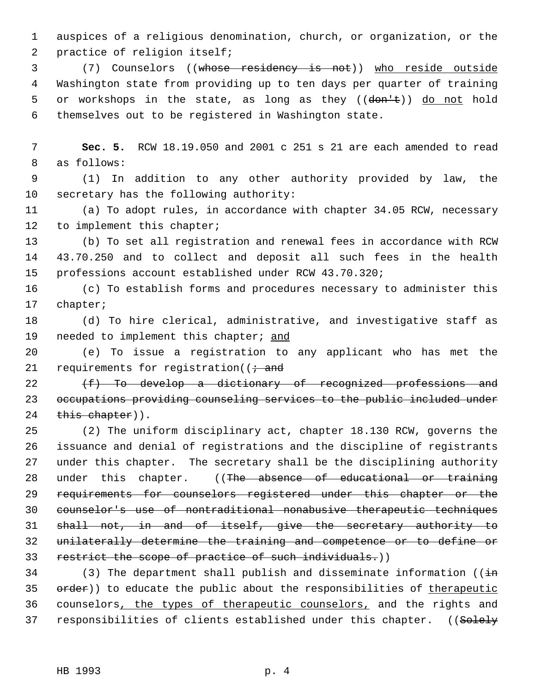auspices of a religious denomination, church, or organization, or the practice of religion itself;

 (7) Counselors ((whose residency is not)) who reside outside Washington state from providing up to ten days per quarter of training 5 or workshops in the state, as long as they  $((\text{dom} \pm))$  do not hold themselves out to be registered in Washington state.

 **Sec. 5.** RCW 18.19.050 and 2001 c 251 s 21 are each amended to read as follows:

 (1) In addition to any other authority provided by law, the secretary has the following authority:

 (a) To adopt rules, in accordance with chapter 34.05 RCW, necessary 12 to implement this chapter;

 (b) To set all registration and renewal fees in accordance with RCW 43.70.250 and to collect and deposit all such fees in the health professions account established under RCW 43.70.320;

 (c) To establish forms and procedures necessary to administer this chapter;

 (d) To hire clerical, administrative, and investigative staff as 19 needed to implement this chapter; and

 (e) To issue a registration to any applicant who has met the 21 requirements for registration( $\ell \div \text{and}$ 

  $(f)$  To develop a dictionary of recognized professions and occupations providing counseling services to the public included under 24 this chapter)).

 (2) The uniform disciplinary act, chapter 18.130 RCW, governs the issuance and denial of registrations and the discipline of registrants under this chapter. The secretary shall be the disciplining authority 28 under this chapter. ((The absence of educational or training requirements for counselors registered under this chapter or the counselor's use of nontraditional nonabusive therapeutic techniques shall not, in and of itself, give the secretary authority to unilaterally determine the training and competence or to define or 33 restrict the scope of practice of such individuals.))

34 (3) The department shall publish and disseminate information ( $(i+n)$ 35 order)) to educate the public about the responsibilities of therapeutic 36 counselors, the types of therapeutic counselors, and the rights and 37 responsibilities of clients established under this chapter. ((Solely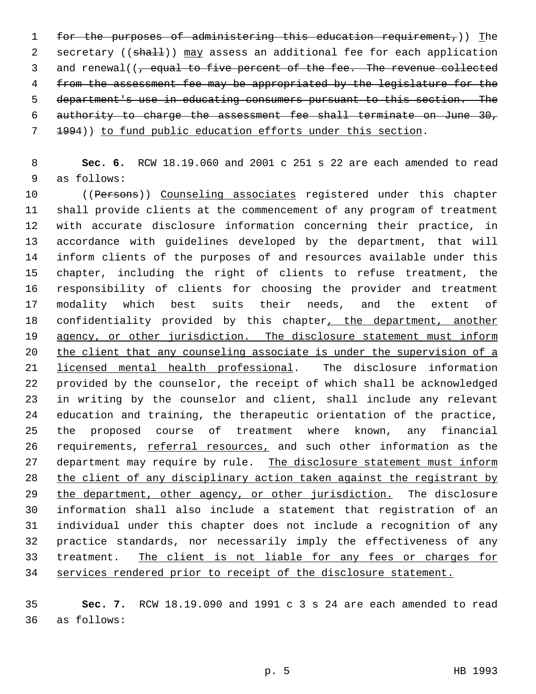for the purposes of administering this education requirement,)) The 2 secretary ((shall)) may assess an additional fee for each application 3 and renewal((, equal to five percent of the fee. The revenue collected from the assessment fee may be appropriated by the legislature for the department's use in educating consumers pursuant to this section. The authority to charge the assessment fee shall terminate on June 30, 1994)) to fund public education efforts under this section.

 **Sec. 6.** RCW 18.19.060 and 2001 c 251 s 22 are each amended to read as follows:

10 ((Persons)) Counseling associates registered under this chapter shall provide clients at the commencement of any program of treatment with accurate disclosure information concerning their practice, in accordance with guidelines developed by the department, that will inform clients of the purposes of and resources available under this chapter, including the right of clients to refuse treatment, the responsibility of clients for choosing the provider and treatment modality which best suits their needs, and the extent of 18 confidentiality provided by this chapter, the department, another 19 agency, or other jurisdiction. The disclosure statement must inform the client that any counseling associate is under the supervision of a licensed mental health professional. The disclosure information provided by the counselor, the receipt of which shall be acknowledged in writing by the counselor and client, shall include any relevant education and training, the therapeutic orientation of the practice, the proposed course of treatment where known, any financial 26 requirements, referral resources, and such other information as the 27 department may require by rule. The disclosure statement must inform 28 the client of any disciplinary action taken against the registrant by 29 the department, other agency, or other jurisdiction. The disclosure information shall also include a statement that registration of an individual under this chapter does not include a recognition of any practice standards, nor necessarily imply the effectiveness of any treatment. The client is not liable for any fees or charges for services rendered prior to receipt of the disclosure statement.

 **Sec. 7.** RCW 18.19.090 and 1991 c 3 s 24 are each amended to read as follows: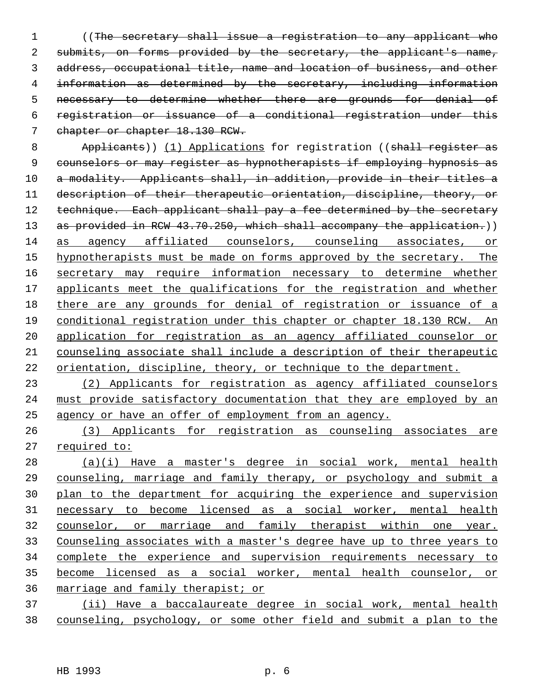((The secretary shall issue a registration to any applicant who 2 submits, on forms provided by the secretary, the applicant's name, address, occupational title, name and location of business, and other information as determined by the secretary, including information necessary to determine whether there are grounds for denial of registration or issuance of a conditional registration under this 7 chapter or chapter 18.130 RCW.

8 Applicants)) (1) Applications for registration ((shall register as counselors or may register as hypnotherapists if employing hypnosis as 10 a modality. Applicants shall, in addition, provide in their titles a description of their therapeutic orientation, discipline, theory, or 12 technique. Each applicant shall pay a fee determined by the secretary 13 as provided in RCW 43.70.250, which shall accompany the application.)) as agency affiliated counselors, counseling associates, or 15 hypnotherapists must be made on forms approved by the secretary. The secretary may require information necessary to determine whether applicants meet the qualifications for the registration and whether there are any grounds for denial of registration or issuance of a conditional registration under this chapter or chapter 18.130 RCW. An application for registration as an agency affiliated counselor or counseling associate shall include a description of their therapeutic orientation, discipline, theory, or technique to the department.

 (2) Applicants for registration as agency affiliated counselors must provide satisfactory documentation that they are employed by an agency or have an offer of employment from an agency.

 (3) Applicants for registration as counseling associates are required to:

 (a)(i) Have a master's degree in social work, mental health counseling, marriage and family therapy, or psychology and submit a plan to the department for acquiring the experience and supervision necessary to become licensed as a social worker, mental health counselor, or marriage and family therapist within one year. Counseling associates with a master's degree have up to three years to complete the experience and supervision requirements necessary to become licensed as a social worker, mental health counselor, or marriage and family therapist; or

 (ii) Have a baccalaureate degree in social work, mental health counseling, psychology, or some other field and submit a plan to the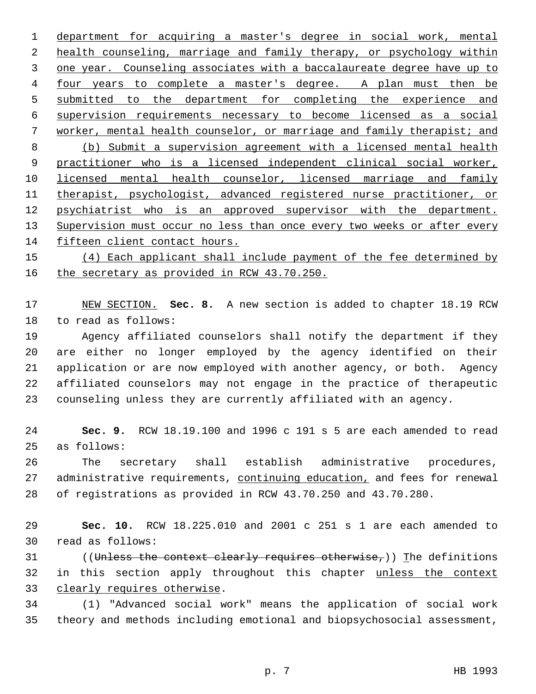department for acquiring a master's degree in social work, mental health counseling, marriage and family therapy, or psychology within one year. Counseling associates with a baccalaureate degree have up to four years to complete a master's degree. A plan must then be submitted to the department for completing the experience and supervision requirements necessary to become licensed as a social worker, mental health counselor, or marriage and family therapist; and (b) Submit a supervision agreement with a licensed mental health practitioner who is a licensed independent clinical social worker, licensed mental health counselor, licensed marriage and family therapist, psychologist, advanced registered nurse practitioner, or 12 psychiatrist who is an approved supervisor with the department. 13 Supervision must occur no less than once every two weeks or after every fifteen client contact hours.

15 (4) Each applicant shall include payment of the fee determined by 16 the secretary as provided in RCW 43.70.250.

 NEW SECTION. **Sec. 8.** A new section is added to chapter 18.19 RCW to read as follows:

 Agency affiliated counselors shall notify the department if they are either no longer employed by the agency identified on their application or are now employed with another agency, or both. Agency affiliated counselors may not engage in the practice of therapeutic counseling unless they are currently affiliated with an agency.

 **Sec. 9.** RCW 18.19.100 and 1996 c 191 s 5 are each amended to read as follows:

 The secretary shall establish administrative procedures, 27 administrative requirements, continuing education, and fees for renewal of registrations as provided in RCW 43.70.250 and 43.70.280.

 **Sec. 10.** RCW 18.225.010 and 2001 c 251 s 1 are each amended to read as follows:

31 ((Unless the context clearly requires otherwise,)) The definitions 32 in this section apply throughout this chapter unless the context clearly requires otherwise.

 (1) "Advanced social work" means the application of social work theory and methods including emotional and biopsychosocial assessment,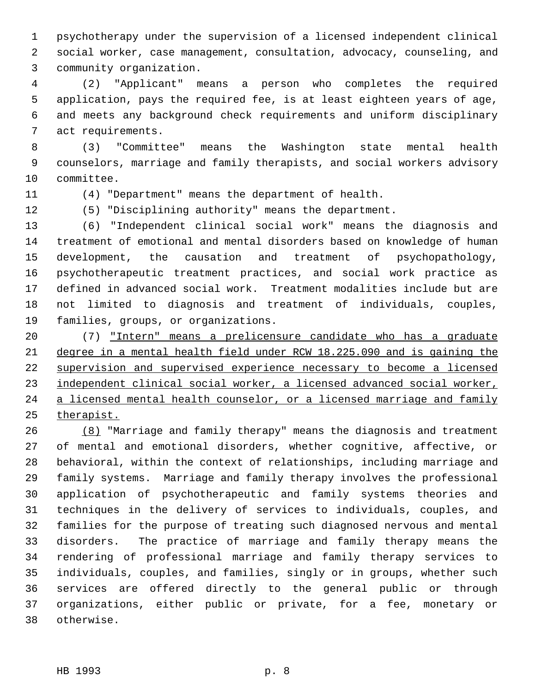psychotherapy under the supervision of a licensed independent clinical social worker, case management, consultation, advocacy, counseling, and community organization.

 (2) "Applicant" means a person who completes the required application, pays the required fee, is at least eighteen years of age, and meets any background check requirements and uniform disciplinary act requirements.

 (3) "Committee" means the Washington state mental health counselors, marriage and family therapists, and social workers advisory committee.

(4) "Department" means the department of health.

(5) "Disciplining authority" means the department.

 (6) "Independent clinical social work" means the diagnosis and treatment of emotional and mental disorders based on knowledge of human development, the causation and treatment of psychopathology, psychotherapeutic treatment practices, and social work practice as defined in advanced social work. Treatment modalities include but are not limited to diagnosis and treatment of individuals, couples, families, groups, or organizations.

 (7) "Intern" means a prelicensure candidate who has a graduate degree in a mental health field under RCW 18.225.090 and is gaining the supervision and supervised experience necessary to become a licensed independent clinical social worker, a licensed advanced social worker, 24 a licensed mental health counselor, or a licensed marriage and family therapist.

 (8) "Marriage and family therapy" means the diagnosis and treatment of mental and emotional disorders, whether cognitive, affective, or behavioral, within the context of relationships, including marriage and family systems. Marriage and family therapy involves the professional application of psychotherapeutic and family systems theories and techniques in the delivery of services to individuals, couples, and families for the purpose of treating such diagnosed nervous and mental disorders. The practice of marriage and family therapy means the rendering of professional marriage and family therapy services to individuals, couples, and families, singly or in groups, whether such services are offered directly to the general public or through organizations, either public or private, for a fee, monetary or otherwise.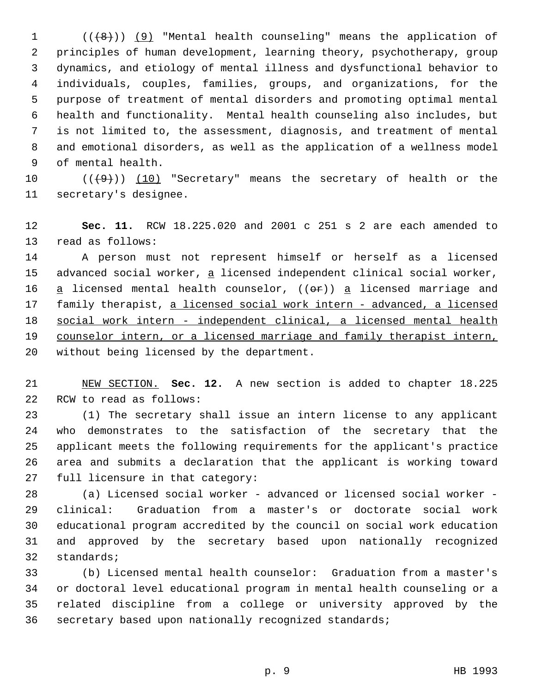$((+8))$  (9) "Mental health counseling" means the application of principles of human development, learning theory, psychotherapy, group dynamics, and etiology of mental illness and dysfunctional behavior to individuals, couples, families, groups, and organizations, for the purpose of treatment of mental disorders and promoting optimal mental health and functionality. Mental health counseling also includes, but is not limited to, the assessment, diagnosis, and treatment of mental and emotional disorders, as well as the application of a wellness model of mental health.

10  $((+9))$   $(10)$  "Secretary" means the secretary of health or the secretary's designee.

 **Sec. 11.** RCW 18.225.020 and 2001 c 251 s 2 are each amended to read as follows:

 A person must not represent himself or herself as a licensed 15 advanced social worker, a licensed independent clinical social worker, 16  $a$  licensed mental health counselor, (( $\Theta$ r))  $a$  licensed marriage and 17 family therapist, a licensed social work intern - advanced, a licensed social work intern - independent clinical, a licensed mental health 19 counselor intern, or a licensed marriage and family therapist intern, without being licensed by the department.

 NEW SECTION. **Sec. 12.** A new section is added to chapter 18.225 RCW to read as follows:

 (1) The secretary shall issue an intern license to any applicant who demonstrates to the satisfaction of the secretary that the applicant meets the following requirements for the applicant's practice area and submits a declaration that the applicant is working toward full licensure in that category:

 (a) Licensed social worker - advanced or licensed social worker - clinical: Graduation from a master's or doctorate social work educational program accredited by the council on social work education and approved by the secretary based upon nationally recognized standards;

 (b) Licensed mental health counselor: Graduation from a master's or doctoral level educational program in mental health counseling or a related discipline from a college or university approved by the secretary based upon nationally recognized standards;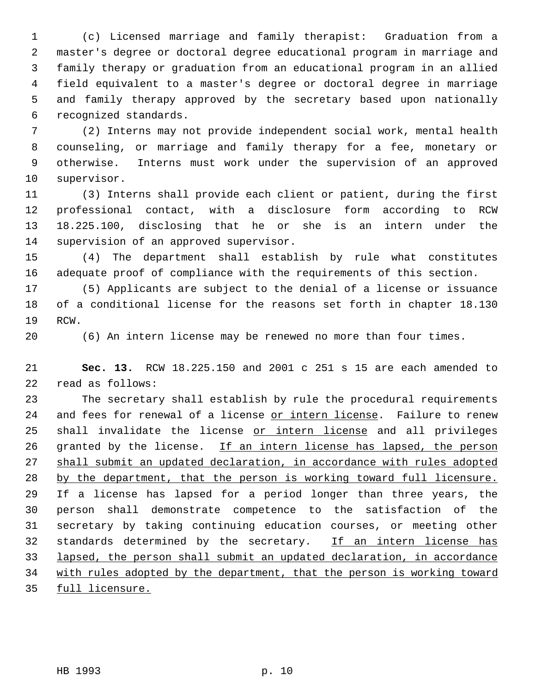(c) Licensed marriage and family therapist: Graduation from a master's degree or doctoral degree educational program in marriage and family therapy or graduation from an educational program in an allied field equivalent to a master's degree or doctoral degree in marriage and family therapy approved by the secretary based upon nationally recognized standards.

 (2) Interns may not provide independent social work, mental health counseling, or marriage and family therapy for a fee, monetary or otherwise. Interns must work under the supervision of an approved supervisor.

 (3) Interns shall provide each client or patient, during the first professional contact, with a disclosure form according to RCW 18.225.100, disclosing that he or she is an intern under the supervision of an approved supervisor.

 (4) The department shall establish by rule what constitutes adequate proof of compliance with the requirements of this section.

 (5) Applicants are subject to the denial of a license or issuance of a conditional license for the reasons set forth in chapter 18.130 RCW.

(6) An intern license may be renewed no more than four times.

 **Sec. 13.** RCW 18.225.150 and 2001 c 251 s 15 are each amended to read as follows:

 The secretary shall establish by rule the procedural requirements and fees for renewal of a license or intern license. Failure to renew 25 shall invalidate the license or intern license and all privileges 26 granted by the license. If an intern license has lapsed, the person shall submit an updated declaration, in accordance with rules adopted by the department, that the person is working toward full licensure. If a license has lapsed for a period longer than three years, the person shall demonstrate competence to the satisfaction of the secretary by taking continuing education courses, or meeting other 32 standards determined by the secretary. If an intern license has lapsed, the person shall submit an updated declaration, in accordance 34 with rules adopted by the department, that the person is working toward full licensure.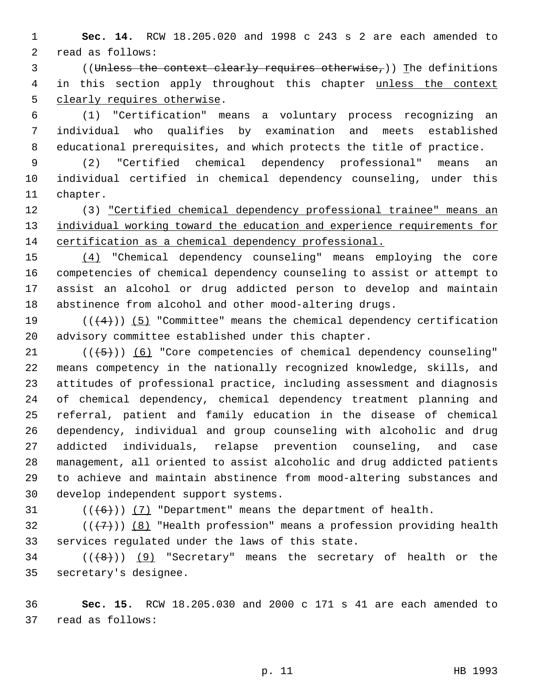**Sec. 14.** RCW 18.205.020 and 1998 c 243 s 2 are each amended to read as follows:

3 ((Unless the context clearly requires otherwise,)) The definitions 4 in this section apply throughout this chapter unless the context clearly requires otherwise.

 (1) "Certification" means a voluntary process recognizing an individual who qualifies by examination and meets established educational prerequisites, and which protects the title of practice.

 (2) "Certified chemical dependency professional" means an individual certified in chemical dependency counseling, under this chapter.

 (3) "Certified chemical dependency professional trainee" means an 13 individual working toward the education and experience requirements for certification as a chemical dependency professional.

 (4) "Chemical dependency counseling" means employing the core competencies of chemical dependency counseling to assist or attempt to assist an alcohol or drug addicted person to develop and maintain abstinence from alcohol and other mood-altering drugs.

19  $((+4))$  (5) "Committee" means the chemical dependency certification advisory committee established under this chapter.

 $((+5))$   $(6)$  "Core competencies of chemical dependency counseling" means competency in the nationally recognized knowledge, skills, and attitudes of professional practice, including assessment and diagnosis of chemical dependency, chemical dependency treatment planning and referral, patient and family education in the disease of chemical dependency, individual and group counseling with alcoholic and drug addicted individuals, relapse prevention counseling, and case management, all oriented to assist alcoholic and drug addicted patients to achieve and maintain abstinence from mood-altering substances and develop independent support systems.

31  $((\langle 6 \rangle)(7)$  "Department" means the department of health.

32 ( $(\overline{\{7\}})$ ) (8) "Health profession" means a profession providing health services regulated under the laws of this state.

34 ( $(\langle 8 \rangle)$ ) (9) "Secretary" means the secretary of health or the secretary's designee.

 **Sec. 15.** RCW 18.205.030 and 2000 c 171 s 41 are each amended to read as follows: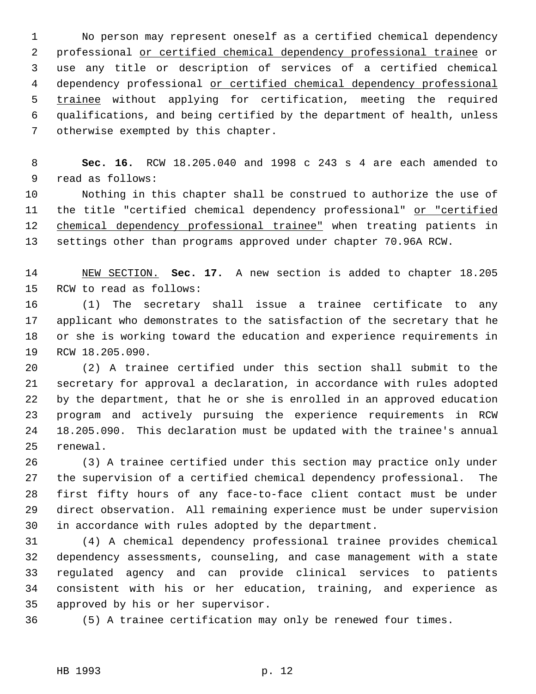No person may represent oneself as a certified chemical dependency professional or certified chemical dependency professional trainee or use any title or description of services of a certified chemical 4 dependency professional or certified chemical dependency professional 5 trainee without applying for certification, meeting the required qualifications, and being certified by the department of health, unless otherwise exempted by this chapter.

 **Sec. 16.** RCW 18.205.040 and 1998 c 243 s 4 are each amended to read as follows:

 Nothing in this chapter shall be construed to authorize the use of 11 the title "certified chemical dependency professional" or "certified 12 chemical dependency professional trainee" when treating patients in settings other than programs approved under chapter 70.96A RCW.

 NEW SECTION. **Sec. 17.** A new section is added to chapter 18.205 RCW to read as follows:

 (1) The secretary shall issue a trainee certificate to any applicant who demonstrates to the satisfaction of the secretary that he or she is working toward the education and experience requirements in RCW 18.205.090.

 (2) A trainee certified under this section shall submit to the secretary for approval a declaration, in accordance with rules adopted by the department, that he or she is enrolled in an approved education program and actively pursuing the experience requirements in RCW 18.205.090. This declaration must be updated with the trainee's annual renewal.

 (3) A trainee certified under this section may practice only under the supervision of a certified chemical dependency professional. The first fifty hours of any face-to-face client contact must be under direct observation. All remaining experience must be under supervision in accordance with rules adopted by the department.

 (4) A chemical dependency professional trainee provides chemical dependency assessments, counseling, and case management with a state regulated agency and can provide clinical services to patients consistent with his or her education, training, and experience as approved by his or her supervisor.

(5) A trainee certification may only be renewed four times.